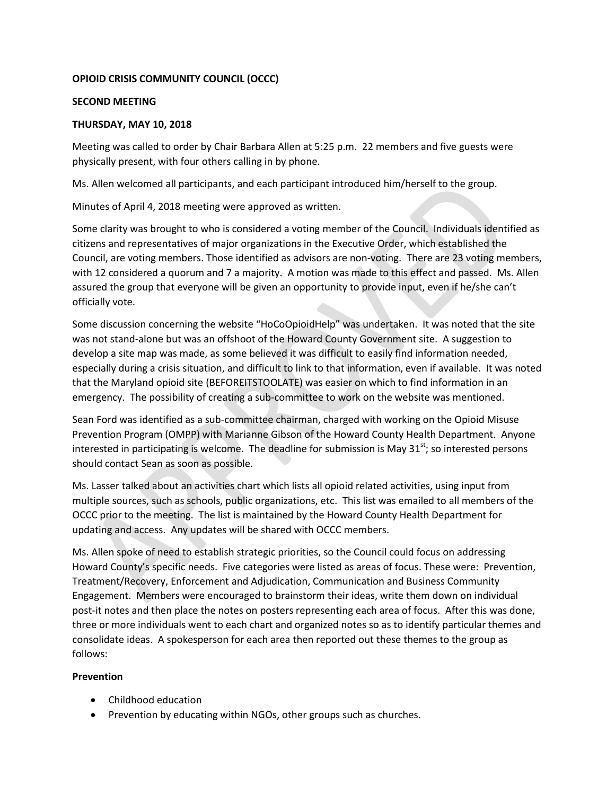# **OPIOID CRISIS COMMUNITY COUNCIL (OCCC)**

### **SECOND MEETING**

# **THURSDAY, MAY 10, 2018**

Meeting was called to order by Chair Barbara Allen at 5:25 p.m. 22 members and five guests were physically present, with four others calling in by phone.

Ms. Allen welcomed all participants, and each participant introduced him/herself to the group.

Minutes of April 4, 2018 meeting were approved as written.

Some clarity was brought to who is considered a voting member of the Council. Individuals identified as citizens and representatives of major organizations in the Executive Order, which established the Council, are voting members. Those identified as advisors are non-voting. There are 23 voting members, with 12 considered a quorum and 7 a majority. A motion was made to this effect and passed. Ms. Allen assured the group that everyone will be given an opportunity to provide input, even if he/she can't officially vote.

Some discussion concerning the website "HoCoOpioidHelp" was undertaken. It was noted that the site was not stand-alone but was an offshoot of the Howard County Government site. A suggestion to develop a site map was made, as some believed it was difficult to easily find information needed, especially during a crisis situation, and difficult to link to that information, even if available. It was noted that the Maryland opioid site (BEFOREITSTOOLATE) was easier on which to find information in an emergency. The possibility of creating a sub-committee to work on the website was mentioned.

Sean Ford was identified as a sub-committee chairman, charged with working on the Opioid Misuse Prevention Program (OMPP) with Marianne Gibson of the Howard County Health Department. Anyone interested in participating is welcome. The deadline for submission is May  $31<sup>st</sup>$ ; so interested persons should contact Sean as soon as possible.

Ms. Lasser talked about an activities chart which lists all opioid related activities, using input from multiple sources, such as schools, public organizations, etc. This list was emailed to all members of the OCCC prior to the meeting. The list is maintained by the Howard County Health Department for updating and access. Any updates will be shared with OCCC members.

Ms. Allen spoke of need to establish strategic priorities, so the Council could focus on addressing Howard County's specific needs. Five categories were listed as areas of focus. These were: Prevention, Treatment/Recovery, Enforcement and Adjudication, Communication and Business Community Engagement. Members were encouraged to brainstorm their ideas, write them down on individual post-it notes and then place the notes on posters representing each area of focus. After this was done, three or more individuals went to each chart and organized notes so as to identify particular themes and consolidate ideas. A spokesperson for each area then reported out these themes to the group as follows:

# **Prevention**

- Childhood education
- Prevention by educating within NGOs, other groups such as churches.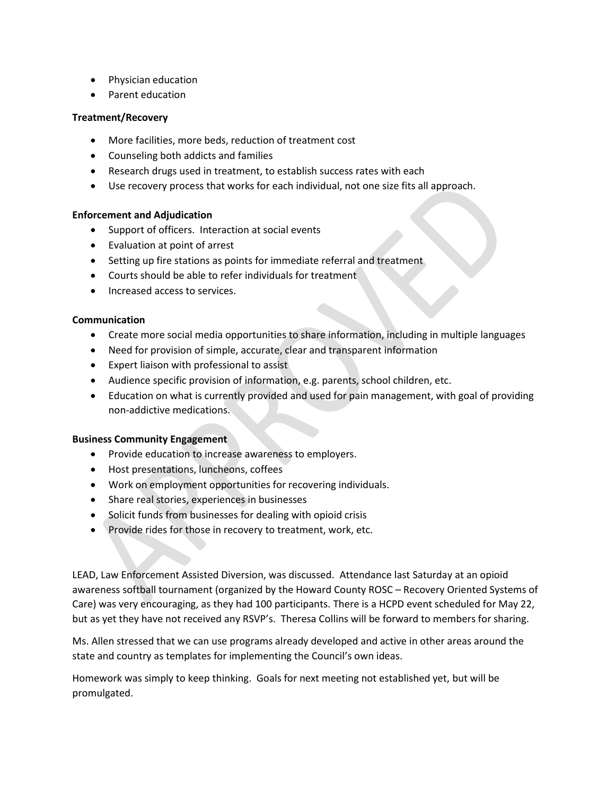- Physician education
- Parent education

### **Treatment/Recovery**

- More facilities, more beds, reduction of treatment cost
- Counseling both addicts and families
- Research drugs used in treatment, to establish success rates with each
- Use recovery process that works for each individual, not one size fits all approach.

# **Enforcement and Adjudication**

- Support of officers. Interaction at social events
- Evaluation at point of arrest
- Setting up fire stations as points for immediate referral and treatment
- Courts should be able to refer individuals for treatment
- Increased access to services.

#### **Communication**

- Create more social media opportunities to share information, including in multiple languages
- Need for provision of simple, accurate, clear and transparent information
- Expert liaison with professional to assist
- Audience specific provision of information, e.g. parents, school children, etc.
- Education on what is currently provided and used for pain management, with goal of providing non-addictive medications.

#### **Business Community Engagement**

- Provide education to increase awareness to employers.
- Host presentations, luncheons, coffees
- Work on employment opportunities for recovering individuals.
- Share real stories, experiences in businesses
- Solicit funds from businesses for dealing with opioid crisis
- Provide rides for those in recovery to treatment, work, etc.

LEAD, Law Enforcement Assisted Diversion, was discussed. Attendance last Saturday at an opioid awareness softball tournament (organized by the Howard County ROSC – Recovery Oriented Systems of Care) was very encouraging, as they had 100 participants. There is a HCPD event scheduled for May 22, but as yet they have not received any RSVP's. Theresa Collins will be forward to members for sharing.

Ms. Allen stressed that we can use programs already developed and active in other areas around the state and country as templates for implementing the Council's own ideas.

Homework was simply to keep thinking. Goals for next meeting not established yet, but will be promulgated.